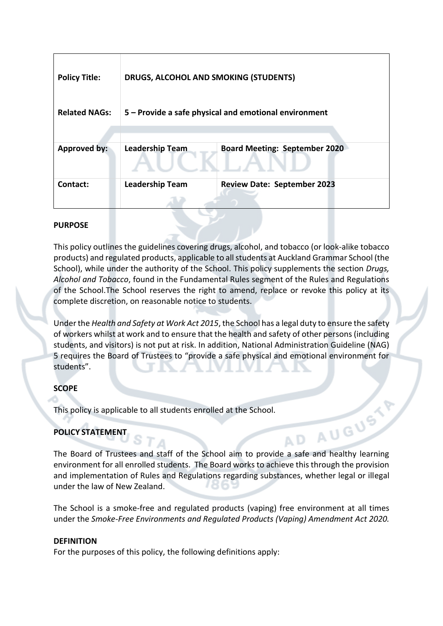| <b>Policy Title:</b> | <b>DRUGS, ALCOHOL AND SMOKING (STUDENTS)</b>          |                                      |
|----------------------|-------------------------------------------------------|--------------------------------------|
| <b>Related NAGs:</b> | 5 - Provide a safe physical and emotional environment |                                      |
|                      |                                                       |                                      |
| <b>Approved by:</b>  | <b>Leadership Team</b>                                | <b>Board Meeting: September 2020</b> |
| Contact:             | <b>Leadership Team</b>                                | <b>Review Date: September 2023</b>   |
|                      |                                                       |                                      |

### **PURPOSE**

This policy outlines the guidelines covering drugs, alcohol, and tobacco (or look-alike tobacco products) and regulated products, applicable to all students at Auckland Grammar School (the School), while under the authority of the School. This policy supplements the section *Drugs, Alcohol and Tobacco*, found in the Fundamental Rules segment of the Rules and Regulations of the School.The School reserves the right to amend, replace or revoke this policy at its complete discretion, on reasonable notice to students.

Under the *Health and Safety at Work Act 2015*, the School has a legal duty to ensure the safety of workers whilst at work and to ensure that the health and safety of other persons (including students, and visitors) is not put at risk. In addition, National Administration Guideline (NAG) 5 requires the Board of Trustees to "provide a safe physical and emotional environment for students".

## **SCOPE**

This policy is applicable to all students enrolled at the School.

# **POLICY STATEMENT**

The Board of Trustees and staff of the School aim to provide a safe and healthy learning environment for all enrolled students. The Board works to achieve this through the provision and implementation of Rules and Regulations regarding substances, whether legal or illegal under the law of New Zealand.

The School is a smoke-free and regulated products (vaping) free environment at all times under the *Smoke-Free Environments and Regulated Products (Vaping) Amendment Act 2020.*

## **DEFINITION**

For the purposes of this policy, the following definitions apply: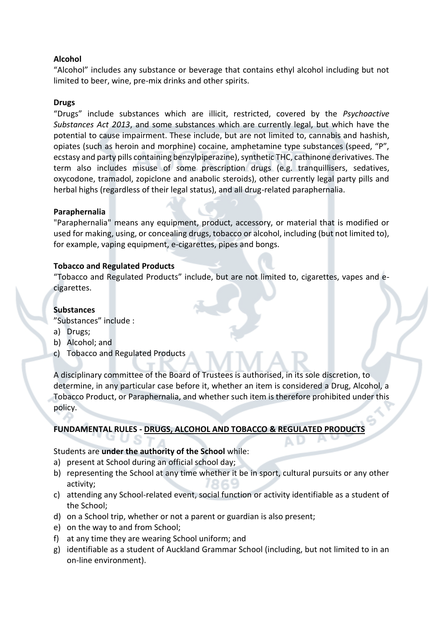## **Alcohol**

"Alcohol" includes any substance or beverage that contains ethyl alcohol including but not limited to beer, wine, pre-mix drinks and other spirits.

#### **Drugs**

"Drugs" include substances which are illicit, restricted, covered by the *Psychoactive Substances Act 2013*, and some substances which are currently legal, but which have the potential to cause impairment. These include, but are not limited to, cannabis and hashish, opiates (such as heroin and morphine) cocaine, amphetamine type substances (speed, "P", ecstasy and party pills containing benzylpiperazine), synthetic THC, cathinone derivatives. The term also includes misuse of some prescription drugs (e.g. tranquillisers, sedatives, oxycodone, tramadol, zopiclone and anabolic steroids), other currently legal party pills and herbal highs (regardless of their legal status), and all drug-related paraphernalia.

#### **Paraphernalia**

"Paraphernalia" means any equipment, product, accessory, or material that is modified or used for making, using, or concealing drugs, tobacco or alcohol, including (but not limited to), for example, vaping equipment, e-cigarettes, pipes and bongs.

#### **Tobacco and Regulated Products**

"Tobacco and Regulated Products" include, but are not limited to, cigarettes, vapes and ecigarettes.

#### **Substances**

"Substances" include :

- a) Drugs;
- b) Alcohol; and
- c) Tobacco and Regulated Products

A disciplinary committee of the Board of Trustees is authorised, in its sole discretion, to determine, in any particular case before it, whether an item is considered a Drug, Alcohol, a Tobacco Product, or Paraphernalia, and whether such item is therefore prohibited under this policy.

#### **FUNDAMENTAL RULES - DRUGS, ALCOHOL AND TOBACCO & REGULATED PRODUCTS**

#### Students are **under the authority of the School** while:

- a) present at School during an official school day;
- b) representing the School at any time whether it be in sport, cultural pursuits or any other activity;
- c) attending any School-related event, social function or activity identifiable as a student of the School;
- d) on a School trip, whether or not a parent or guardian is also present;
- e) on the way to and from School;
- f) at any time they are wearing School uniform; and
- g) identifiable as a student of Auckland Grammar School (including, but not limited to in an on-line environment).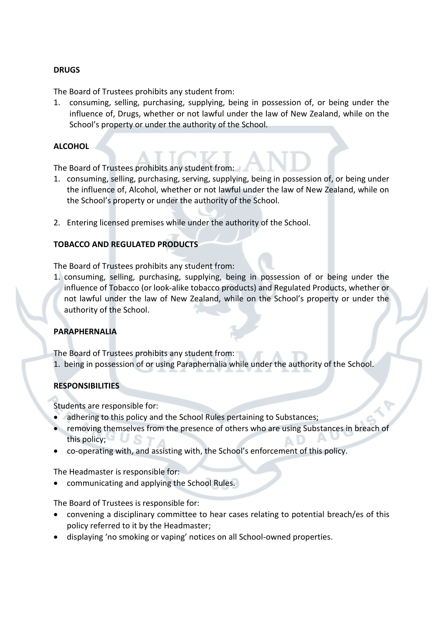#### **DRUGS**

The Board of Trustees prohibits any student from:

1. consuming, selling, purchasing, supplying, being in possession of, or being under the influence of, Drugs, whether or not lawful under the law of New Zealand, while on the School's property or under the authority of the School.

#### **ALCOHOL**

The Board of Trustees prohibits any student from:

- 1. consuming, selling, purchasing, serving, supplying, being in possession of, or being under the influence of, Alcohol, whether or not lawful under the law of New Zealand, while on the School's property or under the authority of the School.
- 2. Entering licensed premises while under the authority of the School.

## **TOBACCO AND REGULATED PRODUCTS**

The Board of Trustees prohibits any student from:

1. consuming, selling, purchasing, supplying, being in possession of or being under the influence of Tobacco (or look-alike tobacco products) and Regulated Products, whether or not lawful under the law of New Zealand, while on the School's property or under the authority of the School.

## **PARAPHERNALIA**

The Board of Trustees prohibits any student from:

1. being in possession of or using Paraphernalia while under the authority of the School.

## **RESPONSIBILITIES**

Students are responsible for:

- adhering to this policy and the School Rules pertaining to Substances;
- removing themselves from the presence of others who are using Substances in breach of this policy;
- co-operating with, and assisting with, the School's enforcement of this policy.

The Headmaster is responsible for:

• communicating and applying the School Rules.

The Board of Trustees is responsible for:

- convening a disciplinary committee to hear cases relating to potential breach/es of this policy referred to it by the Headmaster;
- displaying 'no smoking or vaping' notices on all School-owned properties.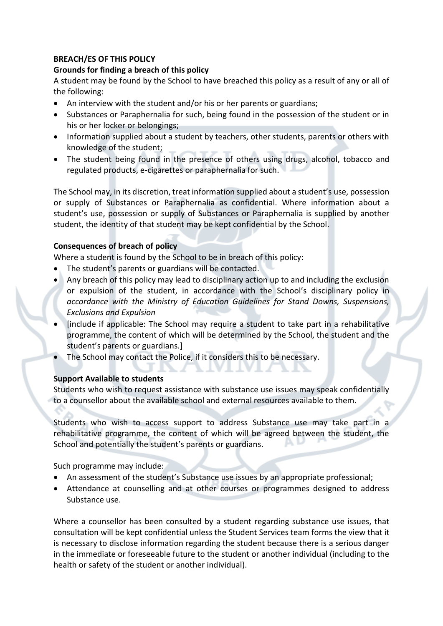### **BREACH/ES OF THIS POLICY**

### **Grounds for finding a breach of this policy**

A student may be found by the School to have breached this policy as a result of any or all of the following:

- An interview with the student and/or his or her parents or guardians;
- Substances or Paraphernalia for such, being found in the possession of the student or in his or her locker or belongings;
- Information supplied about a student by teachers, other students, parents or others with knowledge of the student;
- The student being found in the presence of others using drugs, alcohol, tobacco and regulated products, e-cigarettes or paraphernalia for such.

The School may, in its discretion, treat information supplied about a student's use, possession or supply of Substances or Paraphernalia as confidential. Where information about a student's use, possession or supply of Substances or Paraphernalia is supplied by another student, the identity of that student may be kept confidential by the School.

## **Consequences of breach of policy**

Where a student is found by the School to be in breach of this policy:

- The student's parents or guardians will be contacted.
- Any breach of this policy may lead to disciplinary action up to and including the exclusion or expulsion of the student, in accordance with the School's disciplinary policy in *accordance with the Ministry of Education Guidelines for Stand Downs, Suspensions, Exclusions and Expulsion*
- [include if applicable: The School may require a student to take part in a rehabilitative programme, the content of which will be determined by the School, the student and the student's parents or guardians.]
- The School may contact the Police, if it considers this to be necessary.

## **Support Available to students**

Students who wish to request assistance with substance use issues may speak confidentially to a counsellor about the available school and external resources available to them.

Students who wish to access support to address Substance use may take part in a rehabilitative programme, the content of which will be agreed between the student, the School and potentially the student's parents or guardians. P. L

Such programme may include:

- An assessment of the student's Substance use issues by an appropriate professional;
- Attendance at counselling and at other courses or programmes designed to address Substance use.

Where a counsellor has been consulted by a student regarding substance use issues, that consultation will be kept confidential unless the Student Services team forms the view that it is necessary to disclose information regarding the student because there is a serious danger in the immediate or foreseeable future to the student or another individual (including to the health or safety of the student or another individual).